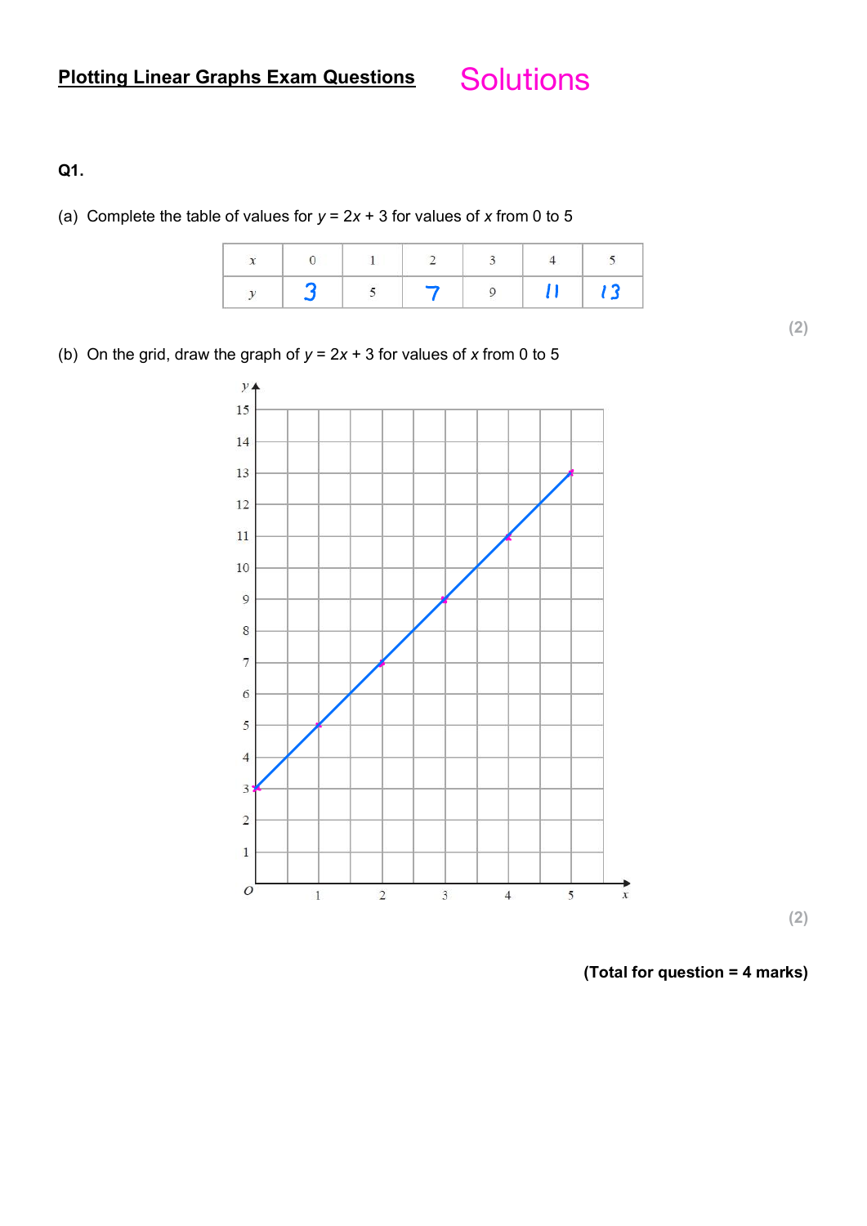# **Solutions**

### **Q1.**

(a) Complete the table of values for  $y = 2x + 3$  for values of x from 0 to 5

(b) On the grid, draw the graph of  $y = 2x + 3$  for values of x from 0 to 5



**(2)**

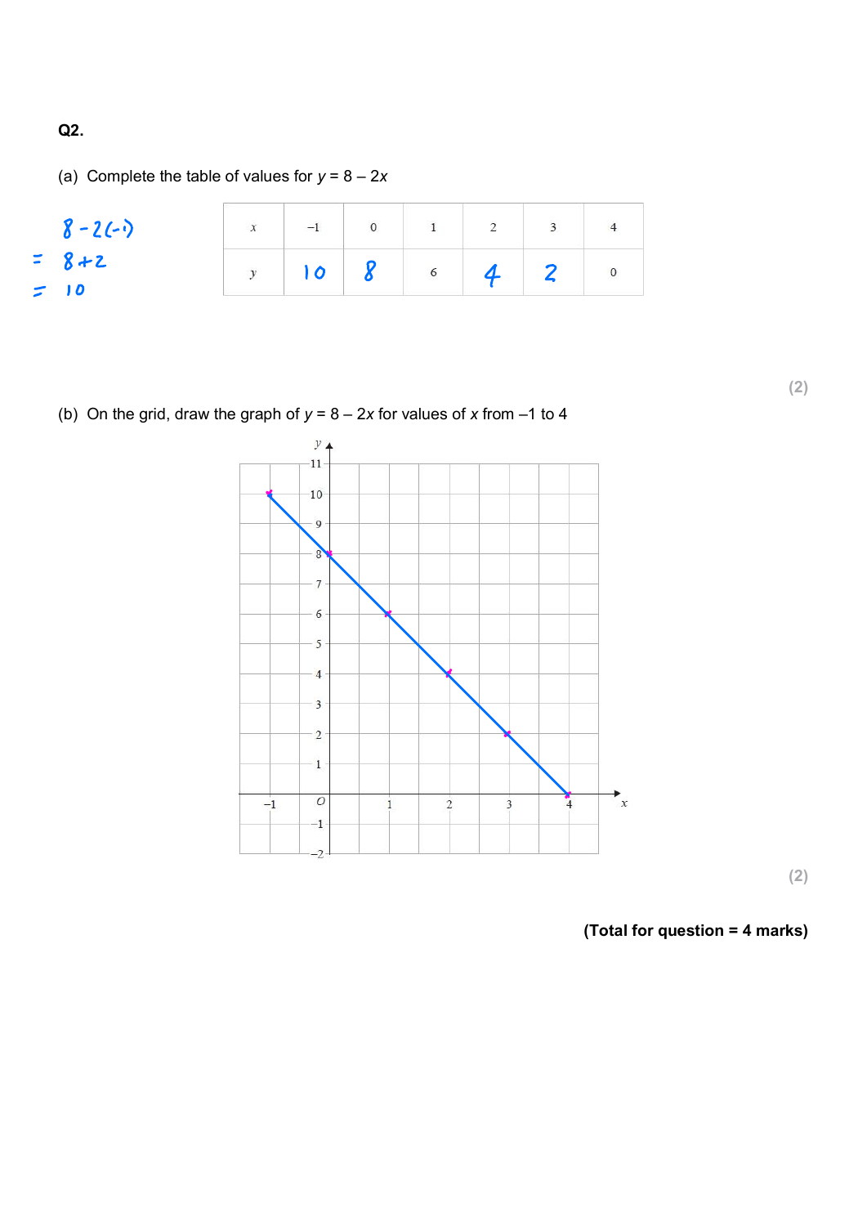**Q2.**

(a) Complete the table of values for  $y = 8 - 2x$ 

|               | $8 - 2(-1)$ |  |  |  |  |
|---------------|-------------|--|--|--|--|
|               | $= 8 + 2$   |  |  |  |  |
| $\rightarrow$ | 10          |  |  |  |  |

(b) On the grid, draw the graph of  $y = 8 - 2x$  for values of x from -1 to 4



**(2)**

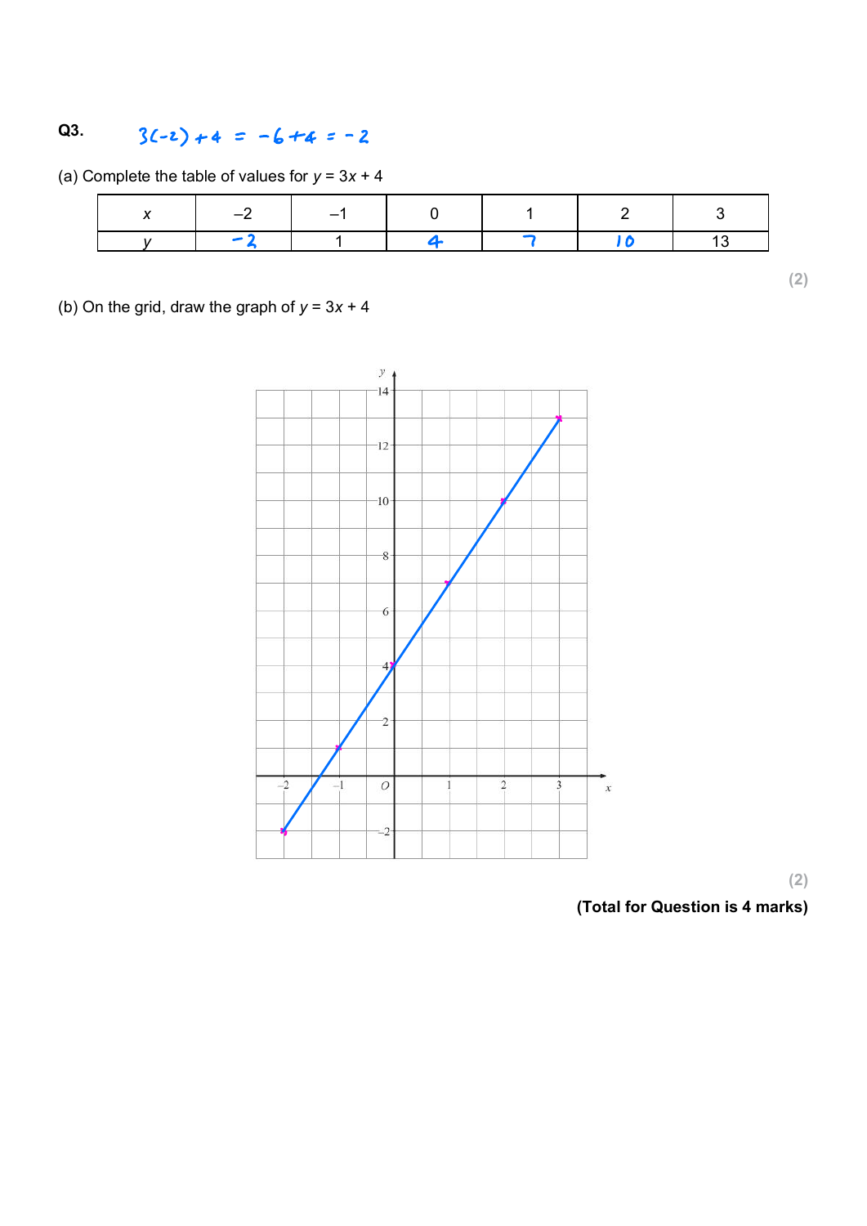#### **Q3.**  $3(-2) + 4 = -6 + 4 = -2$

| (a) Complete the table of values for $y = 3x + 4$ |
|---------------------------------------------------|
|---------------------------------------------------|

| $\overline{\phantom{0}}$ | $\sim$ |  |  |
|--------------------------|--------|--|--|
|                          |        |  |  |

## (b) On the grid, draw the graph of  $y = 3x + 4$



**(2)**

**(Total for Question is 4 marks)**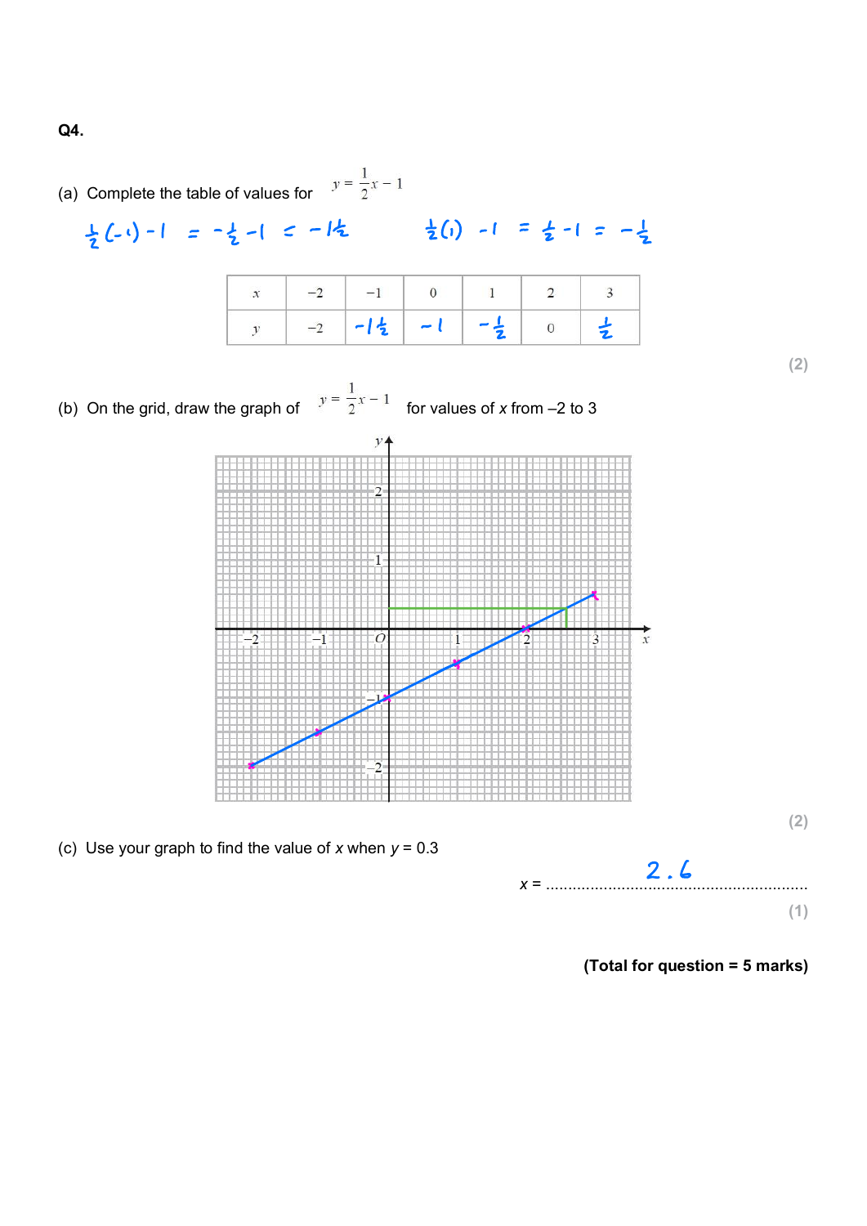**Q4.**



**(Total for question = 5 marks)**